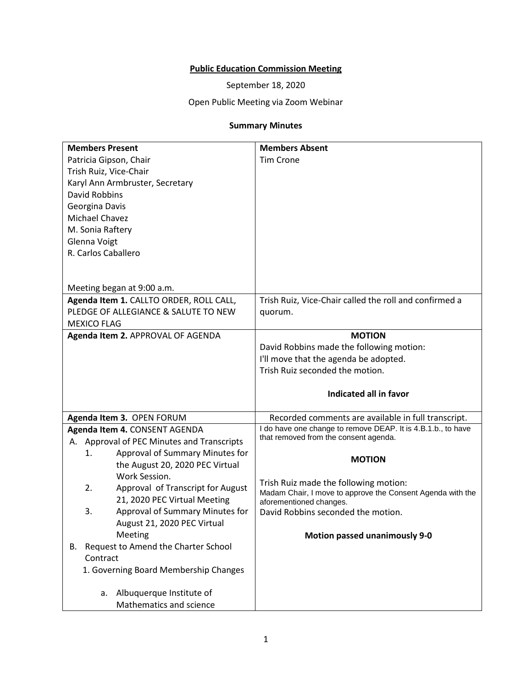## **Public Education Commission Meeting**

September 18, 2020

## Open Public Meeting via Zoom Webinar

## **Summary Minutes**

| <b>Members Present</b>                        | <b>Members Absent</b>                                                                 |
|-----------------------------------------------|---------------------------------------------------------------------------------------|
| Patricia Gipson, Chair                        | <b>Tim Crone</b>                                                                      |
| Trish Ruiz, Vice-Chair                        |                                                                                       |
| Karyl Ann Armbruster, Secretary               |                                                                                       |
| <b>David Robbins</b>                          |                                                                                       |
| Georgina Davis                                |                                                                                       |
| Michael Chavez                                |                                                                                       |
| M. Sonia Raftery                              |                                                                                       |
| Glenna Voigt                                  |                                                                                       |
| R. Carlos Caballero                           |                                                                                       |
|                                               |                                                                                       |
|                                               |                                                                                       |
| Meeting began at 9:00 a.m.                    |                                                                                       |
| Agenda Item 1. CALLTO ORDER, ROLL CALL,       | Trish Ruiz, Vice-Chair called the roll and confirmed a                                |
| PLEDGE OF ALLEGIANCE & SALUTE TO NEW          | quorum.                                                                               |
| <b>MEXICO FLAG</b>                            |                                                                                       |
| Agenda Item 2. APPROVAL OF AGENDA             | <b>MOTION</b>                                                                         |
|                                               | David Robbins made the following motion:                                              |
|                                               | I'll move that the agenda be adopted.                                                 |
|                                               | Trish Ruiz seconded the motion.                                                       |
|                                               |                                                                                       |
|                                               | Indicated all in favor                                                                |
| Agenda Item 3. OPEN FORUM                     | Recorded comments are available in full transcript.                                   |
| Agenda Item 4. CONSENT AGENDA                 | I do have one change to remove DEAP. It is 4.B.1.b., to have                          |
| Approval of PEC Minutes and Transcripts<br>А. | that removed from the consent agenda.                                                 |
| Approval of Summary Minutes for<br>1.         |                                                                                       |
| the August 20, 2020 PEC Virtual               | <b>MOTION</b>                                                                         |
| Work Session.                                 |                                                                                       |
| 2.<br>Approval of Transcript for August       | Trish Ruiz made the following motion:                                                 |
| 21, 2020 PEC Virtual Meeting                  | Madam Chair, I move to approve the Consent Agenda with the<br>aforementioned changes. |
| Approval of Summary Minutes for<br>3.         | David Robbins seconded the motion.                                                    |
| August 21, 2020 PEC Virtual                   |                                                                                       |
| Meeting                                       | <b>Motion passed unanimously 9-0</b>                                                  |
| Request to Amend the Charter School<br>В.     |                                                                                       |
| Contract                                      |                                                                                       |
| 1. Governing Board Membership Changes         |                                                                                       |
|                                               |                                                                                       |
| Albuquerque Institute of<br>а.                |                                                                                       |
| Mathematics and science                       |                                                                                       |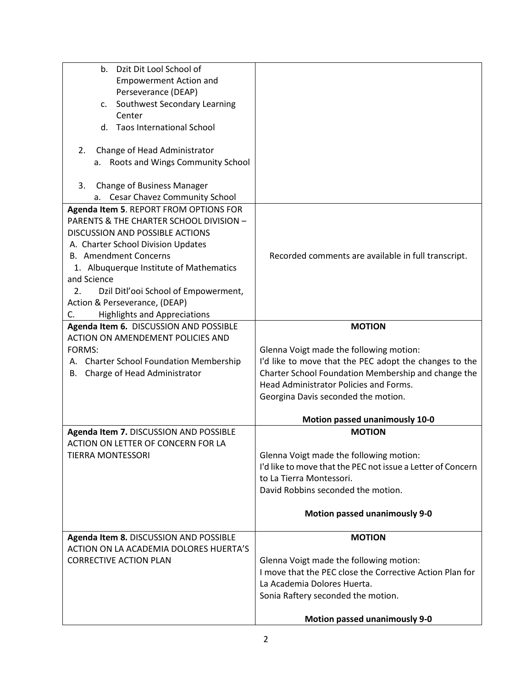| b. Dzit Dit Lool School of                 |                                                             |
|--------------------------------------------|-------------------------------------------------------------|
| <b>Empowerment Action and</b>              |                                                             |
| Perseverance (DEAP)                        |                                                             |
| Southwest Secondary Learning<br>C.         |                                                             |
| Center                                     |                                                             |
| <b>Taos International School</b><br>d.     |                                                             |
|                                            |                                                             |
| Change of Head Administrator<br>2.         |                                                             |
| Roots and Wings Community School<br>а.     |                                                             |
|                                            |                                                             |
| <b>Change of Business Manager</b><br>3.    |                                                             |
| <b>Cesar Chavez Community School</b><br>а. |                                                             |
|                                            |                                                             |
| Agenda Item 5. REPORT FROM OPTIONS FOR     |                                                             |
| PARENTS & THE CHARTER SCHOOL DIVISION -    |                                                             |
| <b>DISCUSSION AND POSSIBLE ACTIONS</b>     |                                                             |
| A. Charter School Division Updates         |                                                             |
| <b>B.</b> Amendment Concerns               | Recorded comments are available in full transcript.         |
| 1. Albuquerque Institute of Mathematics    |                                                             |
| and Science                                |                                                             |
| 2.<br>Dzil Ditl'ooi School of Empowerment, |                                                             |
| Action & Perseverance, (DEAP)              |                                                             |
| <b>Highlights and Appreciations</b><br>C.  |                                                             |
| Agenda Item 6. DISCUSSION AND POSSIBLE     | <b>MOTION</b>                                               |
| ACTION ON AMENDEMENT POLICIES AND          |                                                             |
| FORMS:                                     | Glenna Voigt made the following motion:                     |
| A. Charter School Foundation Membership    | I'd like to move that the PEC adopt the changes to the      |
| B. Charge of Head Administrator            | Charter School Foundation Membership and change the         |
|                                            | Head Administrator Policies and Forms.                      |
|                                            | Georgina Davis seconded the motion.                         |
|                                            |                                                             |
|                                            | <b>Motion passed unanimously 10-0</b>                       |
| Agenda Item 7. DISCUSSION AND POSSIBLE     | <b>MOTION</b>                                               |
| ACTION ON LETTER OF CONCERN FOR LA         |                                                             |
| <b>TIERRA MONTESSORI</b>                   | Glenna Voigt made the following motion:                     |
|                                            | I'd like to move that the PEC not issue a Letter of Concern |
|                                            | to La Tierra Montessori.                                    |
|                                            | David Robbins seconded the motion.                          |
|                                            |                                                             |
|                                            | <b>Motion passed unanimously 9-0</b>                        |
|                                            |                                                             |
| Agenda Item 8. DISCUSSION AND POSSIBLE     | <b>MOTION</b>                                               |
| ACTION ON LA ACADEMIA DOLORES HUERTA'S     |                                                             |
| <b>CORRECTIVE ACTION PLAN</b>              | Glenna Voigt made the following motion:                     |
|                                            | I move that the PEC close the Corrective Action Plan for    |
|                                            | La Academia Dolores Huerta.                                 |
|                                            | Sonia Raftery seconded the motion.                          |
|                                            |                                                             |
|                                            | <b>Motion passed unanimously 9-0</b>                        |